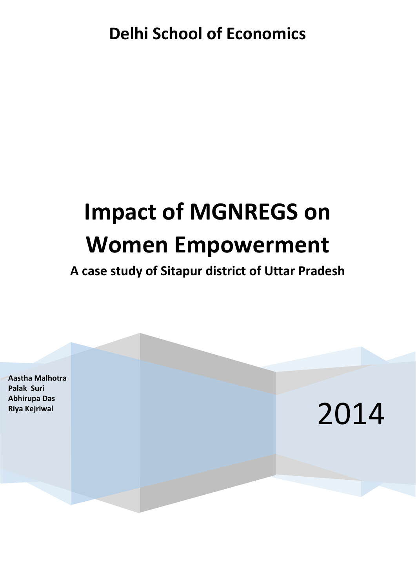## **Delhi School of Economics**

# **Impact of MGNREGS on Women Empowerment**

## **A case study of Sitapur district of Uttar Pradesh**

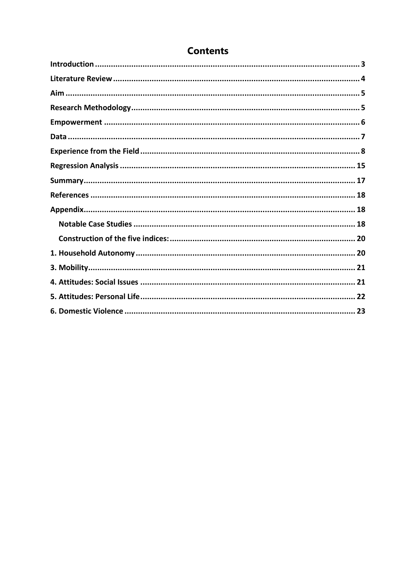#### **Contents**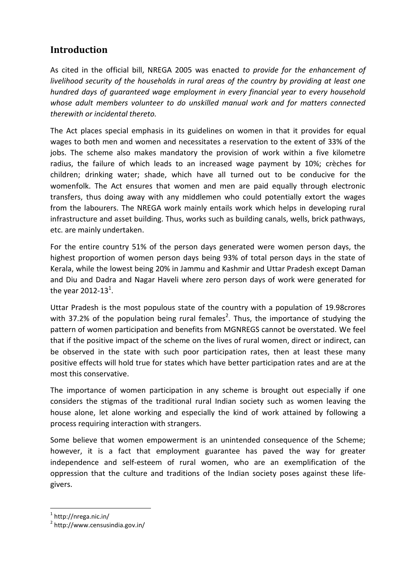#### <span id="page-2-0"></span>**Introduction**

As cited in the official bill, NREGA 2005 was enacted *to provide for the enhancement of livelihood security of the households in rural areas of the country by providing at least one hundred days of guaranteed wage employment in every financial year to every household whose adult members volunteer to do unskilled manual work and for matters connected therewith or incidental thereto.*

The Act places special emphasis in its guidelines on women in that it provides for equal wages to both men and women and necessitates a reservation to the extent of 33% of the jobs. The scheme also makes mandatory the provision of work within a five kilometre radius, the failure of which leads to an increased wage payment by 10%; crèches for children; drinking water; shade, which have all turned out to be conducive for the womenfolk. The Act ensures that women and men are paid equally through electronic transfers, thus doing away with any middlemen who could potentially extort the wages from the labourers. The NREGA work mainly entails work which helps in developing rural infrastructure and asset building. Thus, works such as building canals, wells, brick pathways, etc. are mainly undertaken.

For the entire country 51% of the person days generated were women person days, the highest proportion of women person days being 93% of total person days in the state of Kerala, while the lowest being 20% in Jammu and Kashmir and Uttar Pradesh except Daman and Diu and Dadra and Nagar Haveli where zero person days of work were generated for the year 2012-13<sup>1</sup>.

Uttar Pradesh is the most populous state of the country with a population of 19.98crores with 37.2% of the population being rural females<sup>2</sup>. Thus, the importance of studying the pattern of women participation and benefits from MGNREGS cannot be overstated. We feel that if the positive impact of the scheme on the lives of rural women, direct or indirect, can be observed in the state with such poor participation rates, then at least these many positive effects will hold true for states which have better participation rates and are at the most this conservative.

The importance of women participation in any scheme is brought out especially if one considers the stigmas of the traditional rural Indian society such as women leaving the house alone, let alone working and especially the kind of work attained by following a process requiring interaction with strangers.

Some believe that women empowerment is an unintended consequence of the Scheme; however, it is a fact that employment guarantee has paved the way for greater independence and self-esteem of rural women, who are an exemplification of the oppression that the culture and traditions of the Indian society poses against these lifegivers.

1 http://nrega.nic.in/

1

<sup>2</sup> http://www.censusindia.gov.in/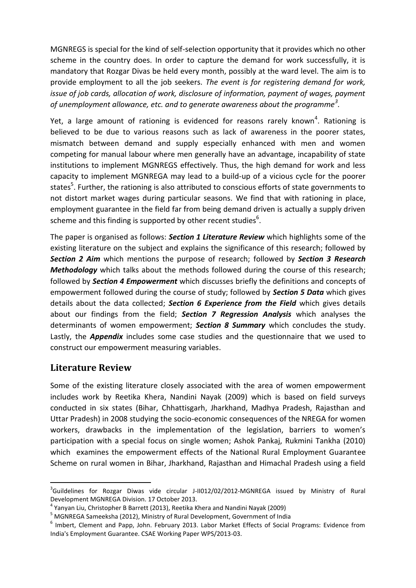MGNREGS is special for the kind of self-selection opportunity that it provides which no other scheme in the country does. In order to capture the demand for work successfully, it is mandatory that Rozgar Divas be held every month, possibly at the ward level. The aim is to provide employment to all the job seekers. *The event is for registering demand for work, issue of job cards, allocation of work, disclosure of information, payment of wages, payment of unemployment allowance, etc. and to generate awareness about the programme<sup>3</sup> .*

Yet, a large amount of rationing is evidenced for reasons rarely known<sup>4</sup>. Rationing is believed to be due to various reasons such as lack of awareness in the poorer states, mismatch between demand and supply especially enhanced with men and women competing for manual labour where men generally have an advantage, incapability of state institutions to implement MGNREGS effectively. Thus, the high demand for work and less capacity to implement MGNREGA may lead to a build-up of a vicious cycle for the poorer states<sup>5</sup>. Further, the rationing is also attributed to conscious efforts of state governments to not distort market wages during particular seasons. We find that with rationing in place, employment guarantee in the field far from being demand driven is actually a supply driven scheme and this finding is supported by other recent studies<sup>6</sup>.

The paper is organised as follows: *Section 1 Literature Review* which highlights some of the existing literature on the subject and explains the significance of this research; followed by *Section 2 Aim* which mentions the purpose of research; followed by *Section 3 Research*  **Methodology** which talks about the methods followed during the course of this research; followed by *Section 4 Empowerment* which discusses briefly the definitions and concepts of empowerment followed during the course of study; followed by *Section 5 Data* which gives details about the data collected; *Section 6 Experience from the Field* which gives details about our findings from the field; *Section 7 Regression Analysis* which analyses the determinants of women empowerment; *Section 8 Summary* which concludes the study. Lastly, the *Appendix* includes some case studies and the questionnaire that we used to construct our empowerment measuring variables.

#### <span id="page-3-0"></span>**Literature Review**

1

Some of the existing literature closely associated with the area of women empowerment includes work by Reetika Khera, Nandini Nayak (2009) which is based on field surveys conducted in six states (Bihar, Chhattisgarh, Jharkhand, Madhya Pradesh, Rajasthan and Uttar Pradesh) in 2008 studying the socio-economic consequences of the NREGA for women workers, drawbacks in the implementation of the legislation, barriers to women's participation with a special focus on single women; Ashok Pankaj, Rukmini Tankha (2010) which examines the empowerment effects of the National Rural Employment Guarantee Scheme on rural women in Bihar, Jharkhand, Rajasthan and Himachal Pradesh using a field

<sup>&</sup>lt;sup>3</sup>Guildelines for Rozgar Diwas vide circular J-II012/02/2012-MGNREGA issued by Ministry of Rural Development MGNREGA Division. 17 October 2013.

<sup>4</sup> Yanyan Liu, Christopher B Barrett (2013), Reetika Khera and Nandini Nayak (2009)

<sup>5</sup> MGNREGA Sameeksha (2012), Ministry of Rural Development, Government of India

<sup>6</sup> Imbert, Clement and Papp, John. February 2013. Labor Market Effects of Social Programs: Evidence from India's Employment Guarantee. CSAE Working Paper WPS/2013-03.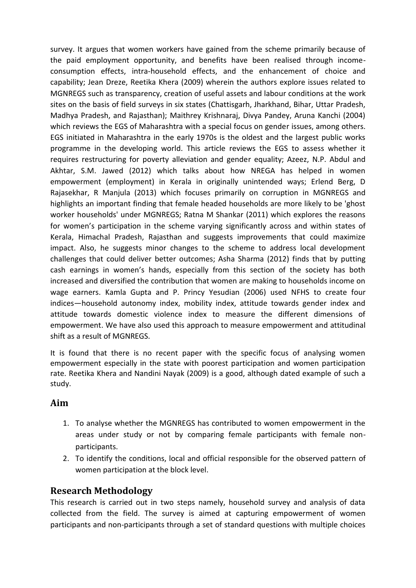survey. It argues that women workers have gained from the scheme primarily because of the paid employment opportunity, and benefits have been realised through incomeconsumption effects, intra-household effects, and the enhancement of choice and capability; Jean Dreze, Reetika Khera (2009) wherein the authors explore issues related to MGNREGS such as transparency, creation of useful assets and labour conditions at the work sites on the basis of field surveys in six states (Chattisgarh, Jharkhand, Bihar, Uttar Pradesh, Madhya Pradesh, and Rajasthan); Maithrey Krishnaraj, Divya Pandey, Aruna Kanchi (2004) which reviews the EGS of Maharashtra with a special focus on gender issues, among others. EGS initiated in Maharashtra in the early 1970s is the oldest and the largest public works programme in the developing world. This article reviews the EGS to assess whether it requires restructuring for poverty alleviation and gender equality; Azeez, N.P. Abdul and Akhtar, S.M. Jawed (2012) which talks about how NREGA has helped in women empowerment (employment) in Kerala in originally unintended ways; Erlend Berg, D Rajasekhar, R Manjula (2013) which focuses primarily on corruption in MGNREGS and highlights an important finding that female headed households are more likely to be 'ghost worker households' under MGNREGS; Ratna M Shankar (2011) which explores the reasons for women's participation in the scheme varying significantly across and within states of Kerala, Himachal Pradesh, Rajasthan and suggests improvements that could maximize impact. Also, he suggests minor changes to the scheme to address local development challenges that could deliver better outcomes; Asha Sharma (2012) finds that by putting cash earnings in women's hands, especially from this section of the society has both increased and diversified the contribution that women are making to households income on wage earners. Kamla Gupta and P. Princy Yesudian (2006) used NFHS to create four indices—household autonomy index, mobility index, attitude towards gender index and attitude towards domestic violence index to measure the different dimensions of empowerment. We have also used this approach to measure empowerment and attitudinal shift as a result of MGNREGS.

It is found that there is no recent paper with the specific focus of analysing women empowerment especially in the state with poorest participation and women participation rate. Reetika Khera and Nandini Nayak (2009) is a good, although dated example of such a study.

#### <span id="page-4-0"></span>**Aim**

- 1. To analyse whether the MGNREGS has contributed to women empowerment in the areas under study or not by comparing female participants with female nonparticipants.
- 2. To identify the conditions, local and official responsible for the observed pattern of women participation at the block level.

#### <span id="page-4-1"></span>**Research Methodology**

This research is carried out in two steps namely, household survey and analysis of data collected from the field. The survey is aimed at capturing empowerment of women participants and non-participants through a set of standard questions with multiple choices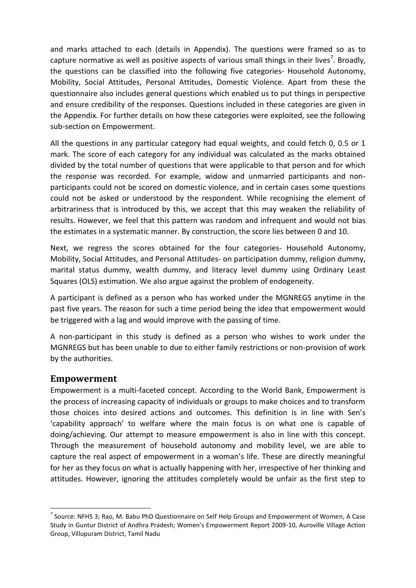and marks attached to each (details in Appendix). The questions were framed so as to capture normative as well as positive aspects of various small things in their lives<sup>7</sup>. Broadly, the questions can be classified into the following five categories- Household Autonomy, Mobility, Social Attitudes, Personal Attitudes, Domestic Violence. Apart from these the questionnaire also includes general questions which enabled us to put things in perspective and ensure credibility of the responses. Questions included in these categories are given in the Appendix. For further details on how these categories were exploited, see the following sub-section on Empowerment.

All the questions in any particular category had equal weights, and could fetch 0, 0.5 or 1 mark. The score of each category for any individual was calculated as the marks obtained divided by the total number of questions that were applicable to that person and for which the response was recorded. For example, widow and unmarried participants and nonparticipants could not be scored on domestic violence, and in certain cases some questions could not be asked or understood by the respondent. While recognising the element of arbitrariness that is introduced by this, we accept that this may weaken the reliability of results. However, we feel that this pattern was random and infrequent and would not bias the estimates in a systematic manner. By construction, the score lies between 0 and 10.

Next, we regress the scores obtained for the four categories- Household Autonomy, Mobility, Social Attitudes, and Personal Attitudes- on participation dummy, religion dummy, marital status dummy, wealth dummy, and literacy level dummy using Ordinary Least Squares (OLS) estimation. We also argue against the problem of endogeneity.

A participant is defined as a person who has worked under the MGNREGS anytime in the past five years. The reason for such a time period being the idea that empowerment would be triggered with a lag and would improve with the passing of time.

A non-participant in this study is defined as a person who wishes to work under the MGNREGS but has been unable to due to either family restrictions or non-provision of work by the authorities.

#### <span id="page-5-0"></span>**Empowerment**

1

Empowerment is a multi-faceted concept. According to the World Bank, Empowerment is the process of increasing capacity of individuals or groups to make choices and to transform those choices into desired actions and outcomes. This definition is in line with Sen's 'capability approach' to welfare where the main focus is on what one is capable of doing/achieving. Our attempt to measure empowerment is also in line with this concept. Through the measurement of household autonomy and mobility level, we are able to capture the real aspect of empowerment in a woman's life. These are directly meaningful for her as they focus on what is actually happening with her, irrespective of her thinking and attitudes. However, ignoring the attitudes completely would be unfair as the first step to

 $^7$  Source: NFHS 3; Rao, M. Babu PhD Questionnaire on Self Help Groups and Empowerment of Women, A Case Study in Guntur District of Andhra Pradesh; Women's Empowerment Report 2009-10, Auroville Village Action Group, Villupuram District, Tamil Nadu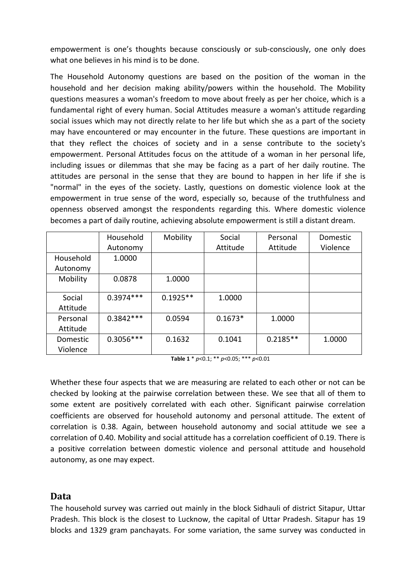empowerment is one's thoughts because consciously or sub-consciously, one only does what one believes in his mind is to be done.

The Household Autonomy questions are based on the position of the woman in the household and her decision making ability/powers within the household. The Mobility questions measures a woman's freedom to move about freely as per her choice, which is a fundamental right of every human. Social Attitudes measure a woman's attitude regarding social issues which may not directly relate to her life but which she as a part of the society may have encountered or may encounter in the future. These questions are important in that they reflect the choices of society and in a sense contribute to the society's empowerment. Personal Attitudes focus on the attitude of a woman in her personal life, including issues or dilemmas that she may be facing as a part of her daily routine. The attitudes are personal in the sense that they are bound to happen in her life if she is "normal" in the eyes of the society. Lastly, questions on domestic violence look at the empowerment in true sense of the word, especially so, because of the truthfulness and openness observed amongst the respondents regarding this. Where domestic violence becomes a part of daily routine, achieving absolute empowerment is still a distant dream.

|           | Household   | Mobility   | Social    | Personal   | Domestic |
|-----------|-------------|------------|-----------|------------|----------|
|           | Autonomy    |            | Attitude  | Attitude   | Violence |
| Household | 1.0000      |            |           |            |          |
| Autonomy  |             |            |           |            |          |
| Mobility  | 0.0878      | 1.0000     |           |            |          |
|           |             |            |           |            |          |
| Social    | $0.3974***$ | $0.1925**$ | 1.0000    |            |          |
| Attitude  |             |            |           |            |          |
| Personal  | $0.3842***$ | 0.0594     | $0.1673*$ | 1.0000     |          |
| Attitude  |             |            |           |            |          |
| Domestic  | $0.3056***$ | 0.1632     | 0.1041    | $0.2185**$ | 1.0000   |
| Violence  |             |            |           |            |          |

**Table 1** \* *p*<0.1; \*\* *p*<0.05; \*\*\* *p*<0.01

Whether these four aspects that we are measuring are related to each other or not can be checked by looking at the pairwise correlation between these. We see that all of them to some extent are positively correlated with each other. Significant pairwise correlation coefficients are observed for household autonomy and personal attitude. The extent of correlation is 0.38. Again, between household autonomy and social attitude we see a correlation of 0.40. Mobility and social attitude has a correlation coefficient of 0.19. There is a positive correlation between domestic violence and personal attitude and household autonomy, as one may expect.

#### <span id="page-6-0"></span>**Data**

The household survey was carried out mainly in the block Sidhauli of district Sitapur, Uttar Pradesh. This block is the closest to Lucknow, the capital of Uttar Pradesh. Sitapur has 19 blocks and 1329 gram panchayats. For some variation, the same survey was conducted in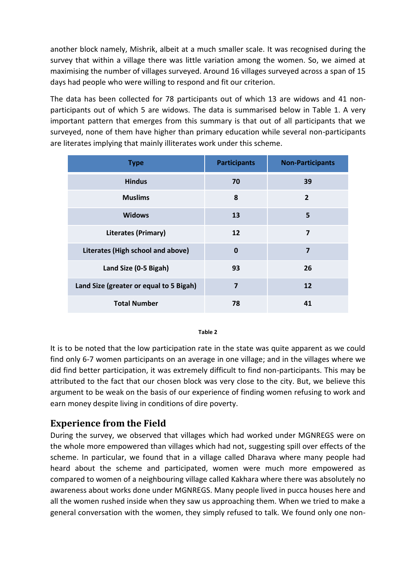another block namely, Mishrik, albeit at a much smaller scale. It was recognised during the survey that within a village there was little variation among the women. So, we aimed at maximising the number of villages surveyed. Around 16 villages surveyed across a span of 15 days had people who were willing to respond and fit our criterion.

The data has been collected for 78 participants out of which 13 are widows and 41 nonparticipants out of which 5 are widows. The data is summarised below in Table 1. A very important pattern that emerges from this summary is that out of all participants that we surveyed, none of them have higher than primary education while several non-participants are literates implying that mainly illiterates work under this scheme.

| <b>Type</b>                             | <b>Participants</b> | <b>Non-Participants</b> |  |
|-----------------------------------------|---------------------|-------------------------|--|
| <b>Hindus</b>                           | 70                  | 39                      |  |
| <b>Muslims</b>                          | 8                   | $\overline{2}$          |  |
| <b>Widows</b>                           | 13                  | 5                       |  |
| <b>Literates (Primary)</b>              | 12                  | $\overline{\mathbf{z}}$ |  |
| Literates (High school and above)       | $\mathbf 0$         | $\overline{7}$          |  |
| Land Size (0-5 Bigah)                   | 93                  | 26                      |  |
| Land Size (greater or equal to 5 Bigah) | $\overline{7}$      | 12                      |  |
| <b>Total Number</b>                     | 78                  | 41                      |  |

#### **Table 2**

It is to be noted that the low participation rate in the state was quite apparent as we could find only 6-7 women participants on an average in one village; and in the villages where we did find better participation, it was extremely difficult to find non-participants. This may be attributed to the fact that our chosen block was very close to the city. But, we believe this argument to be weak on the basis of our experience of finding women refusing to work and earn money despite living in conditions of dire poverty.

#### <span id="page-7-0"></span>**Experience from the Field**

During the survey, we observed that villages which had worked under MGNREGS were on the whole more empowered than villages which had not, suggesting spill over effects of the scheme. In particular, we found that in a village called Dharava where many people had heard about the scheme and participated, women were much more empowered as compared to women of a neighbouring village called Kakhara where there was absolutely no awareness about works done under MGNREGS. Many people lived in pucca houses here and all the women rushed inside when they saw us approaching them. When we tried to make a general conversation with the women, they simply refused to talk. We found only one non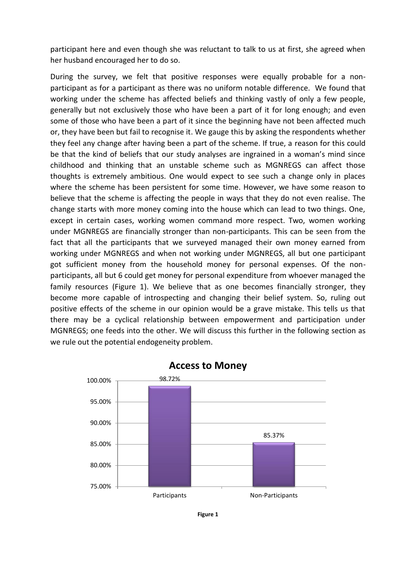participant here and even though she was reluctant to talk to us at first, she agreed when her husband encouraged her to do so.

During the survey, we felt that positive responses were equally probable for a nonparticipant as for a participant as there was no uniform notable difference. We found that working under the scheme has affected beliefs and thinking vastly of only a few people, generally but not exclusively those who have been a part of it for long enough; and even some of those who have been a part of it since the beginning have not been affected much or, they have been but fail to recognise it. We gauge this by asking the respondents whether they feel any change after having been a part of the scheme. If true, a reason for this could be that the kind of beliefs that our study analyses are ingrained in a woman's mind since childhood and thinking that an unstable scheme such as MGNREGS can affect those thoughts is extremely ambitious. One would expect to see such a change only in places where the scheme has been persistent for some time. However, we have some reason to believe that the scheme is affecting the people in ways that they do not even realise. The change starts with more money coming into the house which can lead to two things. One, except in certain cases, working women command more respect. Two, women working under MGNREGS are financially stronger than non-participants. This can be seen from the fact that all the participants that we surveyed managed their own money earned from working under MGNREGS and when not working under MGNREGS, all but one participant got sufficient money from the household money for personal expenses. Of the nonparticipants, all but 6 could get money for personal expenditure from whoever managed the family resources (Figure 1). We believe that as one becomes financially stronger, they become more capable of introspecting and changing their belief system. So, ruling out positive effects of the scheme in our opinion would be a grave mistake. This tells us that there may be a cyclical relationship between empowerment and participation under MGNREGS; one feeds into the other. We will discuss this further in the following section as we rule out the potential endogeneity problem.



**Access to Money**

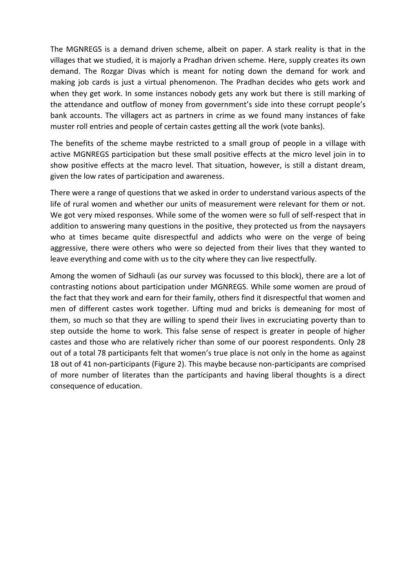The MGNREGS is a demand driven scheme, albeit on paper. A stark reality is that in the villages that we studied, it is majorly a Pradhan driven scheme. Here, supply creates its own demand. The Rozgar Divas which is meant for noting down the demand for work and making job cards is just a virtual phenomenon. The Pradhan decides who gets work and when they get work. In some instances nobody gets any work but there is still marking of the attendance and outflow of money from government's side into these corrupt people's bank accounts. The villagers act as partners in crime as we found many instances of fake muster roll entries and people of certain castes getting all the work (vote banks).

The benefits of the scheme maybe restricted to a small group of people in a village with active MGNREGS participation but these small positive effects at the micro level join in to show positive effects at the macro level. That situation, however, is still a distant dream, given the low rates of participation and awareness.

There were a range of questions that we asked in order to understand various aspects of the life of rural women and whether our units of measurement were relevant for them or not. We got very mixed responses. While some of the women were so full of self-respect that in addition to answering many questions in the positive, they protected us from the naysayers who at times became quite disrespectful and addicts who were on the verge of being aggressive, there were others who were so dejected from their lives that they wanted to leave everything and come with us to the city where they can live respectfully.

Among the women of Sidhauli (as our survey was focussed to this block), there are a lot of contrasting notions about participation under MGNREGS. While some women are proud of the fact that they work and earn for their family, others find it disrespectful that women and men of different castes work together. Lifting mud and bricks is demeaning for most of them, so much so that they are willing to spend their lives in excruciating poverty than to step outside the home to work. This false sense of respect is greater in people of higher castes and those who are relatively richer than some of our poorest respondents. Only 28 out of a total 78 participants felt that women's true place is not only in the home as against 18 out of 41 non-participants (Figure 2). This maybe because non-participants are comprised of more number of literates than the participants and having liberal thoughts is a direct consequence of education.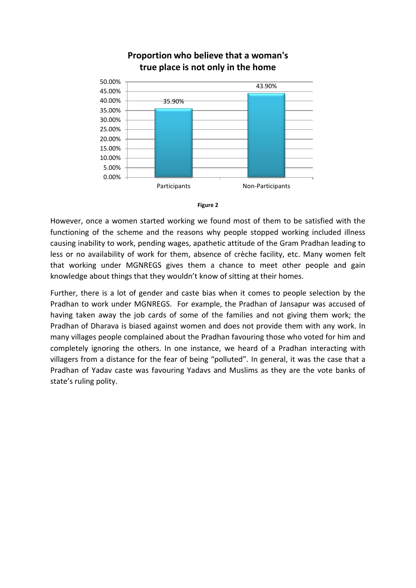

#### **Proportion who believe that a woman's true place is not only in the home**



However, once a women started working we found most of them to be satisfied with the functioning of the scheme and the reasons why people stopped working included illness causing inability to work, pending wages, apathetic attitude of the Gram Pradhan leading to less or no availability of work for them, absence of crèche facility, etc. Many women felt that working under MGNREGS gives them a chance to meet other people and gain knowledge about things that they wouldn't know of sitting at their homes.

Further, there is a lot of gender and caste bias when it comes to people selection by the Pradhan to work under MGNREGS. For example, the Pradhan of Jansapur was accused of having taken away the job cards of some of the families and not giving them work; the Pradhan of Dharava is biased against women and does not provide them with any work. In many villages people complained about the Pradhan favouring those who voted for him and completely ignoring the others. In one instance, we heard of a Pradhan interacting with villagers from a distance for the fear of being "polluted". In general, it was the case that a Pradhan of Yadav caste was favouring Yadavs and Muslims as they are the vote banks of state's ruling polity.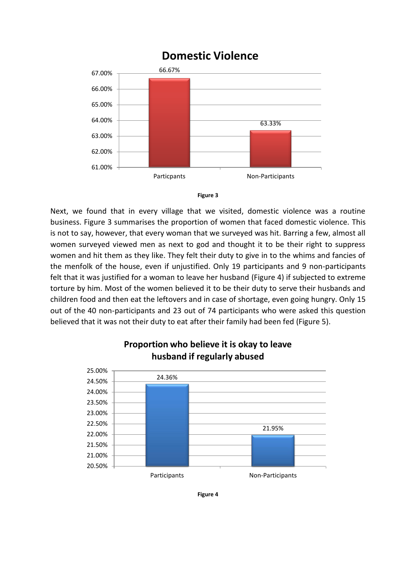### **Domestic Violence**





Next, we found that in every village that we visited, domestic violence was a routine business. Figure 3 summarises the proportion of women that faced domestic violence. This is not to say, however, that every woman that we surveyed was hit. Barring a few, almost all women surveyed viewed men as next to god and thought it to be their right to suppress women and hit them as they like. They felt their duty to give in to the whims and fancies of the menfolk of the house, even if unjustified. Only 19 participants and 9 non-participants felt that it was justified for a woman to leave her husband (Figure 4) if subjected to extreme torture by him. Most of the women believed it to be their duty to serve their husbands and children food and then eat the leftovers and in case of shortage, even going hungry. Only 15 out of the 40 non-participants and 23 out of 74 participants who were asked this question believed that it was not their duty to eat after their family had been fed (Figure 5).



#### **Proportion who believe it is okay to leave husband if regularly abused**

**Figure 4**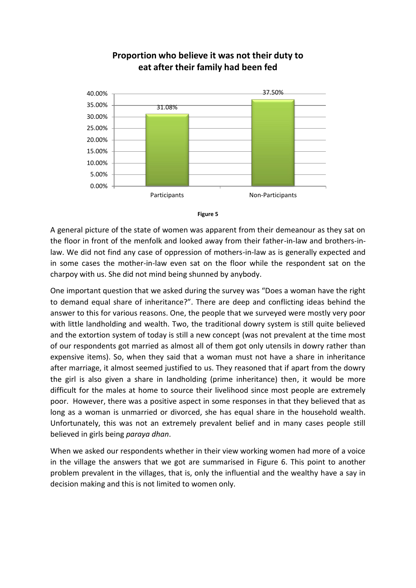

#### **Proportion who believe it was not their duty to eat after their family had been fed**



A general picture of the state of women was apparent from their demeanour as they sat on the floor in front of the menfolk and looked away from their father-in-law and brothers-inlaw. We did not find any case of oppression of mothers-in-law as is generally expected and in some cases the mother-in-law even sat on the floor while the respondent sat on the charpoy with us. She did not mind being shunned by anybody.

One important question that we asked during the survey was "Does a woman have the right to demand equal share of inheritance?". There are deep and conflicting ideas behind the answer to this for various reasons. One, the people that we surveyed were mostly very poor with little landholding and wealth. Two, the traditional dowry system is still quite believed and the extortion system of today is still a new concept (was not prevalent at the time most of our respondents got married as almost all of them got only utensils in dowry rather than expensive items). So, when they said that a woman must not have a share in inheritance after marriage, it almost seemed justified to us. They reasoned that if apart from the dowry the girl is also given a share in landholding (prime inheritance) then, it would be more difficult for the males at home to source their livelihood since most people are extremely poor. However, there was a positive aspect in some responses in that they believed that as long as a woman is unmarried or divorced, she has equal share in the household wealth. Unfortunately, this was not an extremely prevalent belief and in many cases people still believed in girls being *paraya dhan*.

When we asked our respondents whether in their view working women had more of a voice in the village the answers that we got are summarised in Figure 6. This point to another problem prevalent in the villages, that is, only the influential and the wealthy have a say in decision making and this is not limited to women only.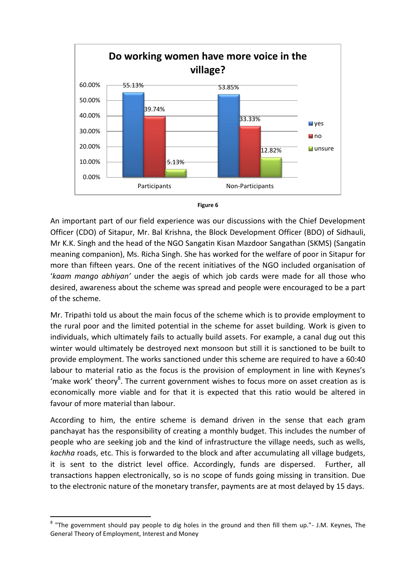



An important part of our field experience was our discussions with the Chief Development Officer (CDO) of Sitapur, Mr. Bal Krishna, the Block Development Officer (BDO) of Sidhauli, Mr K.K. Singh and the head of the NGO Sangatin Kisan Mazdoor Sangathan (SKMS) (Sangatin meaning companion), Ms. Richa Singh. She has worked for the welfare of poor in Sitapur for more than fifteen years. One of the recent initiatives of the NGO included organisation of '*kaam mango abhiyan'* under the aegis of which job cards were made for all those who desired, awareness about the scheme was spread and people were encouraged to be a part of the scheme.

Mr. Tripathi told us about the main focus of the scheme which is to provide employment to the rural poor and the limited potential in the scheme for asset building. Work is given to individuals, which ultimately fails to actually build assets. For example, a canal dug out this winter would ultimately be destroyed next monsoon but still it is sanctioned to be built to provide employment. The works sanctioned under this scheme are required to have a 60:40 labour to material ratio as the focus is the provision of employment in line with Keynes's 'make work' theory $8$ . The current government wishes to focus more on asset creation as is economically more viable and for that it is expected that this ratio would be altered in favour of more material than labour.

According to him, the entire scheme is demand driven in the sense that each gram panchayat has the responsibility of creating a monthly budget. This includes the number of people who are seeking job and the kind of infrastructure the village needs, such as wells, *kachha* roads, etc. This is forwarded to the block and after accumulating all village budgets, it is sent to the district level office. Accordingly, funds are dispersed. Further, all transactions happen electronically, so is no scope of funds going missing in transition. Due to the electronic nature of the monetary transfer, payments are at most delayed by 15 days.

-

<sup>&</sup>lt;sup>8</sup> "The government should pay people to dig holes in the ground and then fill them up."- J.M. Keynes, The General Theory of Employment, Interest and Money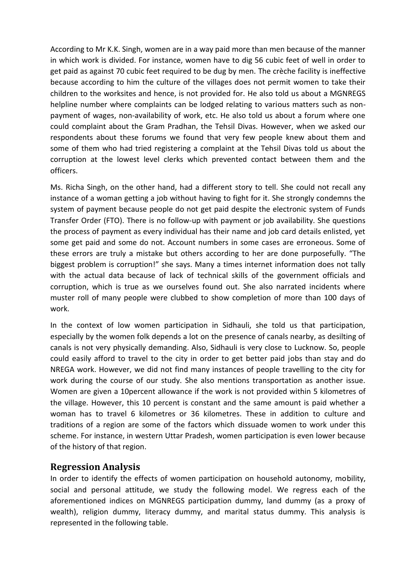According to Mr K.K. Singh, women are in a way paid more than men because of the manner in which work is divided. For instance, women have to dig 56 cubic feet of well in order to get paid as against 70 cubic feet required to be dug by men. The crèche facility is ineffective because according to him the culture of the villages does not permit women to take their children to the worksites and hence, is not provided for. He also told us about a MGNREGS helpline number where complaints can be lodged relating to various matters such as nonpayment of wages, non-availability of work, etc. He also told us about a forum where one could complaint about the Gram Pradhan, the Tehsil Divas. However, when we asked our respondents about these forums we found that very few people knew about them and some of them who had tried registering a complaint at the Tehsil Divas told us about the corruption at the lowest level clerks which prevented contact between them and the officers.

Ms. Richa Singh, on the other hand, had a different story to tell. She could not recall any instance of a woman getting a job without having to fight for it. She strongly condemns the system of payment because people do not get paid despite the electronic system of Funds Transfer Order (FTO). There is no follow-up with payment or job availability. She questions the process of payment as every individual has their name and job card details enlisted, yet some get paid and some do not. Account numbers in some cases are erroneous. Some of these errors are truly a mistake but others according to her are done purposefully. "The biggest problem is corruption!" she says. Many a times internet information does not tally with the actual data because of lack of technical skills of the government officials and corruption, which is true as we ourselves found out. She also narrated incidents where muster roll of many people were clubbed to show completion of more than 100 days of work.

In the context of low women participation in Sidhauli, she told us that participation, especially by the women folk depends a lot on the presence of canals nearby, as desilting of canals is not very physically demanding. Also, Sidhauli is very close to Lucknow. So, people could easily afford to travel to the city in order to get better paid jobs than stay and do NREGA work. However, we did not find many instances of people travelling to the city for work during the course of our study. She also mentions transportation as another issue. Women are given a 10percent allowance if the work is not provided within 5 kilometres of the village. However, this 10 percent is constant and the same amount is paid whether a woman has to travel 6 kilometres or 36 kilometres. These in addition to culture and traditions of a region are some of the factors which dissuade women to work under this scheme. For instance, in western Uttar Pradesh, women participation is even lower because of the history of that region.

#### <span id="page-14-0"></span>**Regression Analysis**

In order to identify the effects of women participation on household autonomy, mobility, social and personal attitude, we study the following model. We regress each of the aforementioned indices on MGNREGS participation dummy, land dummy (as a proxy of wealth), religion dummy, literacy dummy, and marital status dummy. This analysis is represented in the following table.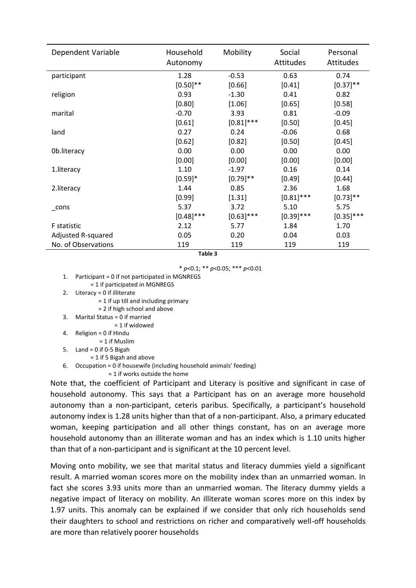| Dependent Variable  | Household<br>Autonomy | Mobility     | Social<br><b>Attitudes</b> | Personal<br>Attitudes |
|---------------------|-----------------------|--------------|----------------------------|-----------------------|
| participant         | 1.28                  | $-0.53$      | 0.63                       | 0.74                  |
|                     | $[0.50]$ **           | [0.66]       | [0.41]                     | $[0.37]$ **           |
| religion            | 0.93                  | $-1.30$      | 0.41                       | 0.82                  |
|                     | [0.80]                | [1.06]       | [0.65]                     | [0.58]                |
| marital             | $-0.70$               | 3.93         | 0.81                       | $-0.09$               |
|                     | [0.61]                | $[0.81]$ *** | $[0.50]$                   | [0.45]                |
| land                | 0.27                  | 0.24         | $-0.06$                    | 0.68                  |
|                     | [0.62]                | [0.82]       | [0.50]                     | [0.45]                |
| 0b.literacy         | 0.00                  | 0.00         | 0.00                       | 0.00                  |
|                     | [0.00]                | [0.00]       | [0.00]                     | [0.00]                |
| 1.literacy          | 1.10                  | $-1.97$      | 0.16                       | 0.14                  |
|                     | $[0.59]*$             | $[0.79]$ **  | $[0.49]$                   | [0.44]                |
| 2.literacy          | 1.44                  | 0.85         | 2.36                       | 1.68                  |
|                     | [0.99]                | [1.31]       | $[0.81]$ ***               | $[0.73]$ **           |
| cons                | 5.37                  | 3.72         | 5.10                       | 5.75                  |
|                     | $[0.48]$ ***          | $[0.63]$ *** | $[0.39]$ ***               | $[0.35]$ ***          |
| <b>F</b> statistic  | 2.12                  | 5.77         | 1.84                       | 1.70                  |
| Adjusted R-squared  | 0.05                  | 0.20         | 0.04                       | 0.03                  |
| No. of Observations | 119                   | 119          | 119                        | 119                   |

**Table 3**

\* *p*<0.1; \*\* *p*<0.05; \*\*\* *p*<0.01

- 1. Participant = 0 if not participated in MGNREGS = 1 if participated in MGNREGS
- 2. Literacy = 0 if illiterate
	- = 1 if up till and including primary
	- = 2 if high school and above
- 3. Marital Status = 0 if married
	- = 1 if widowed
- 4. Religion = 0 if Hindu
- = 1 if Muslim
- 5. Land =  $0$  if 0-5 Bigah
	- = 1 if 5 Bigah and above
- 6. Occupation = 0 if housewife (including household animals' feeding) = 1 if works outside the home

Note that, the coefficient of Participant and Literacy is positive and significant in case of household autonomy. This says that a Participant has on an average more household autonomy than a non-participant, ceteris paribus. Specifically, a participant's household autonomy index is 1.28 units higher than that of a non-participant. Also, a primary educated woman, keeping participation and all other things constant, has on an average more household autonomy than an illiterate woman and has an index which is 1.10 units higher than that of a non-participant and is significant at the 10 percent level.

Moving onto mobility, we see that marital status and literacy dummies yield a significant result. A married woman scores more on the mobility index than an unmarried woman. In fact she scores 3.93 units more than an unmarried woman. The literacy dummy yields a negative impact of literacy on mobility. An illiterate woman scores more on this index by 1.97 units. This anomaly can be explained if we consider that only rich households send their daughters to school and restrictions on richer and comparatively well-off households are more than relatively poorer households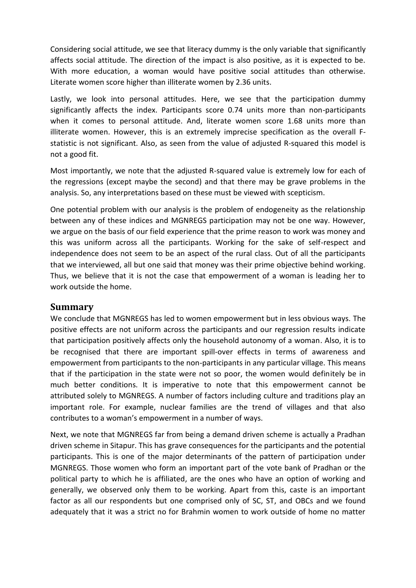Considering social attitude, we see that literacy dummy is the only variable that significantly affects social attitude. The direction of the impact is also positive, as it is expected to be. With more education, a woman would have positive social attitudes than otherwise. Literate women score higher than illiterate women by 2.36 units.

Lastly, we look into personal attitudes. Here, we see that the participation dummy significantly affects the index. Participants score 0.74 units more than non-participants when it comes to personal attitude. And, literate women score 1.68 units more than illiterate women. However, this is an extremely imprecise specification as the overall Fstatistic is not significant. Also, as seen from the value of adjusted R-squared this model is not a good fit.

Most importantly, we note that the adjusted R-squared value is extremely low for each of the regressions (except maybe the second) and that there may be grave problems in the analysis. So, any interpretations based on these must be viewed with scepticism.

One potential problem with our analysis is the problem of endogeneity as the relationship between any of these indices and MGNREGS participation may not be one way. However, we argue on the basis of our field experience that the prime reason to work was money and this was uniform across all the participants. Working for the sake of self-respect and independence does not seem to be an aspect of the rural class. Out of all the participants that we interviewed, all but one said that money was their prime objective behind working. Thus, we believe that it is not the case that empowerment of a woman is leading her to work outside the home.

#### <span id="page-16-0"></span>**Summary**

We conclude that MGNREGS has led to women empowerment but in less obvious ways. The positive effects are not uniform across the participants and our regression results indicate that participation positively affects only the household autonomy of a woman. Also, it is to be recognised that there are important spill-over effects in terms of awareness and empowerment from participants to the non-participants in any particular village. This means that if the participation in the state were not so poor, the women would definitely be in much better conditions. It is imperative to note that this empowerment cannot be attributed solely to MGNREGS. A number of factors including culture and traditions play an important role. For example, nuclear families are the trend of villages and that also contributes to a woman's empowerment in a number of ways.

Next, we note that MGNREGS far from being a demand driven scheme is actually a Pradhan driven scheme in Sitapur. This has grave consequences for the participants and the potential participants. This is one of the major determinants of the pattern of participation under MGNREGS. Those women who form an important part of the vote bank of Pradhan or the political party to which he is affiliated, are the ones who have an option of working and generally, we observed only them to be working. Apart from this, caste is an important factor as all our respondents but one comprised only of SC, ST, and OBCs and we found adequately that it was a strict no for Brahmin women to work outside of home no matter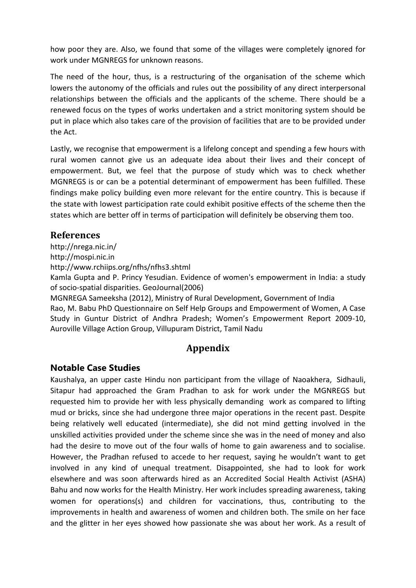how poor they are. Also, we found that some of the villages were completely ignored for work under MGNREGS for unknown reasons.

The need of the hour, thus, is a restructuring of the organisation of the scheme which lowers the autonomy of the officials and rules out the possibility of any direct interpersonal relationships between the officials and the applicants of the scheme. There should be a renewed focus on the types of works undertaken and a strict monitoring system should be put in place which also takes care of the provision of facilities that are to be provided under the Act.

Lastly, we recognise that empowerment is a lifelong concept and spending a few hours with rural women cannot give us an adequate idea about their lives and their concept of empowerment. But, we feel that the purpose of study which was to check whether MGNREGS is or can be a potential determinant of empowerment has been fulfilled. These findings make policy building even more relevant for the entire country. This is because if the state with lowest participation rate could exhibit positive effects of the scheme then the states which are better off in terms of participation will definitely be observing them too.

#### <span id="page-17-0"></span>**References**

http://nrega.nic.in/

http://mospi.nic.in

http://www.rchiips.org/nfhs/nfhs3.shtml

Kamla Gupta and P. Princy Yesudian. Evidence of women's empowerment in India: a study of socio-spatial disparities. GeoJournal(2006)

MGNREGA Sameeksha (2012), Ministry of Rural Development, Government of India Rao, M. Babu PhD Questionnaire on Self Help Groups and Empowerment of Women, A Case Study in Guntur District of Andhra Pradesh; Women's Empowerment Report 2009-10, Auroville Village Action Group, Villupuram District, Tamil Nadu

#### **Appendix**

#### <span id="page-17-2"></span><span id="page-17-1"></span>**Notable Case Studies**

Kaushalya, an upper caste Hindu non participant from the village of Naoakhera, Sidhauli, Sitapur had approached the Gram Pradhan to ask for work under the MGNREGS but requested him to provide her with less physically demanding work as compared to lifting mud or bricks, since she had undergone three major operations in the recent past. Despite being relatively well educated (intermediate), she did not mind getting involved in the unskilled activities provided under the scheme since she was in the need of money and also had the desire to move out of the four walls of home to gain awareness and to socialise. However, the Pradhan refused to accede to her request, saying he wouldn't want to get involved in any kind of unequal treatment. Disappointed, she had to look for work elsewhere and was soon afterwards hired as an Accredited Social Health Activist (ASHA) Bahu and now works for the Health Ministry. Her work includes spreading awareness, taking women for operations(s) and children for vaccinations, thus, contributing to the improvements in health and awareness of women and children both. The smile on her face and the glitter in her eyes showed how passionate she was about her work. As a result of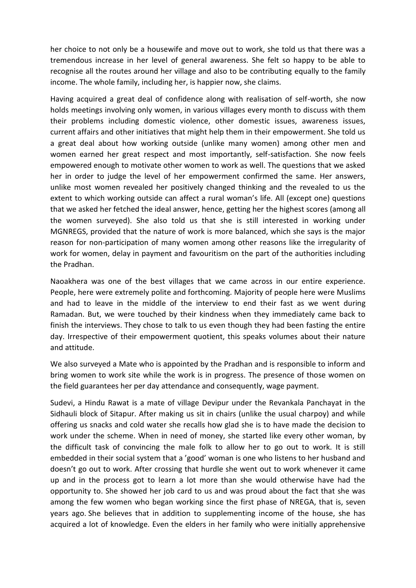her choice to not only be a housewife and move out to work, she told us that there was a tremendous increase in her level of general awareness. She felt so happy to be able to recognise all the routes around her village and also to be contributing equally to the family income. The whole family, including her, is happier now, she claims.

Having acquired a great deal of confidence along with realisation of self-worth, she now holds meetings involving only women, in various villages every month to discuss with them their problems including domestic violence, other domestic issues, awareness issues, current affairs and other initiatives that might help them in their empowerment. She told us a great deal about how working outside (unlike many women) among other men and women earned her great respect and most importantly, self-satisfaction. She now feels empowered enough to motivate other women to work as well. The questions that we asked her in order to judge the level of her empowerment confirmed the same. Her answers, unlike most women revealed her positively changed thinking and the revealed to us the extent to which working outside can affect a rural woman's life. All (except one) questions that we asked her fetched the ideal answer, hence, getting her the highest scores (among all the women surveyed). She also told us that she is still interested in working under MGNREGS, provided that the nature of work is more balanced, which she says is the major reason for non-participation of many women among other reasons like the irregularity of work for women, delay in payment and favouritism on the part of the authorities including the Pradhan.

Naoakhera was one of the best villages that we came across in our entire experience. People, here were extremely polite and forthcoming. Majority of people here were Muslims and had to leave in the middle of the interview to end their fast as we went during Ramadan. But, we were touched by their kindness when they immediately came back to finish the interviews. They chose to talk to us even though they had been fasting the entire day. Irrespective of their empowerment quotient, this speaks volumes about their nature and attitude.

We also surveyed a Mate who is appointed by the Pradhan and is responsible to inform and bring women to work site while the work is in progress. The presence of those women on the field guarantees her per day attendance and consequently, wage payment.

Sudevi, a Hindu Rawat is a mate of village Devipur under the Revankala Panchayat in the Sidhauli block of Sitapur. After making us sit in chairs (unlike the usual charpoy) and while offering us snacks and cold water she recalls how glad she is to have made the decision to work under the scheme. When in need of money, she started like every other woman, by the difficult task of convincing the male folk to allow her to go out to work. It is still embedded in their social system that a 'good' woman is one who listens to her husband and doesn't go out to work. After crossing that hurdle she went out to work whenever it came up and in the process got to learn a lot more than she would otherwise have had the opportunity to. She showed her job card to us and was proud about the fact that she was among the few women who began working since the first phase of NREGA, that is, seven years ago. She believes that in addition to supplementing income of the house, she has acquired a lot of knowledge. Even the elders in her family who were initially apprehensive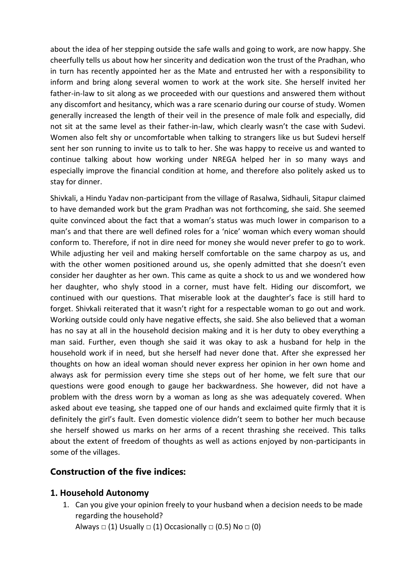about the idea of her stepping outside the safe walls and going to work, are now happy. She cheerfully tells us about how her sincerity and dedication won the trust of the Pradhan, who in turn has recently appointed her as the Mate and entrusted her with a responsibility to inform and bring along several women to work at the work site. She herself invited her father-in-law to sit along as we proceeded with our questions and answered them without any discomfort and hesitancy, which was a rare scenario during our course of study. Women generally increased the length of their veil in the presence of male folk and especially, did not sit at the same level as their father-in-law, which clearly wasn't the case with Sudevi. Women also felt shy or uncomfortable when talking to strangers like us but Sudevi herself sent her son running to invite us to talk to her. She was happy to receive us and wanted to continue talking about how working under NREGA helped her in so many ways and especially improve the financial condition at home, and therefore also politely asked us to stay for dinner.

Shivkali, a Hindu Yadav non-participant from the village of Rasalwa, Sidhauli, Sitapur claimed to have demanded work but the gram Pradhan was not forthcoming, she said. She seemed quite convinced about the fact that a woman's status was much lower in comparison to a man's and that there are well defined roles for a 'nice' woman which every woman should conform to. Therefore, if not in dire need for money she would never prefer to go to work. While adjusting her veil and making herself comfortable on the same charpoy as us, and with the other women positioned around us, she openly admitted that she doesn't even consider her daughter as her own. This came as quite a shock to us and we wondered how her daughter, who shyly stood in a corner, must have felt. Hiding our discomfort, we continued with our questions. That miserable look at the daughter's face is still hard to forget. Shivkali reiterated that it wasn't right for a respectable woman to go out and work. Working outside could only have negative effects, she said. She also believed that a woman has no say at all in the household decision making and it is her duty to obey everything a man said. Further, even though she said it was okay to ask a husband for help in the household work if in need, but she herself had never done that. After she expressed her thoughts on how an ideal woman should never express her opinion in her own home and always ask for permission every time she steps out of her home, we felt sure that our questions were good enough to gauge her backwardness. She however, did not have a problem with the dress worn by a woman as long as she was adequately covered. When asked about eve teasing, she tapped one of our hands and exclaimed quite firmly that it is definitely the girl's fault. Even domestic violence didn't seem to bother her much because she herself showed us marks on her arms of a recent thrashing she received. This talks about the extent of freedom of thoughts as well as actions enjoyed by non-participants in some of the villages.

#### <span id="page-19-0"></span>**Construction of the five indices:**

#### <span id="page-19-1"></span>**1. Household Autonomy**

1. Can you give your opinion freely to your husband when a decision needs to be made regarding the household? Always  $\Box$  (1) Usually  $\Box$  (1) Occasionally  $\Box$  (0.5) No  $\Box$  (0)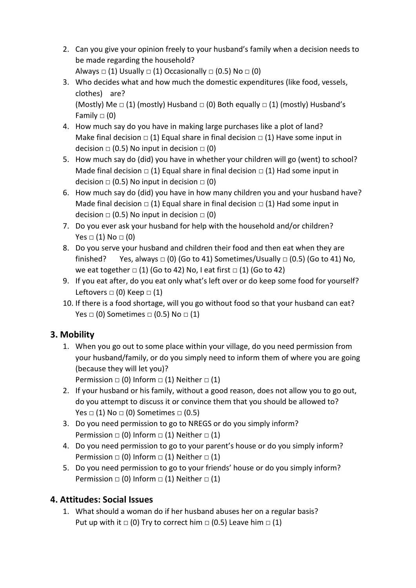- 2. Can you give your opinion freely to your husband's family when a decision needs to be made regarding the household? Always  $\Box$  (1) Usually  $\Box$  (1) Occasionally  $\Box$  (0.5) No  $\Box$  (0)
- 3. Who decides what and how much the domestic expenditures (like food, vessels, clothes) are? (Mostly) Me  $\Box$  (1) (mostly) Husband  $\Box$  (0) Both equally  $\Box$  (1) (mostly) Husband's Family  $\Box$  (0)
- 4. How much say do you have in making large purchases like a plot of land? Make final decision  $\Box$  (1) Equal share in final decision  $\Box$  (1) Have some input in decision  $\Box$  (0.5) No input in decision  $\Box$  (0)
- 5. How much say do (did) you have in whether your children will go (went) to school? Made final decision  $\Box$  (1) Equal share in final decision  $\Box$  (1) Had some input in decision  $\Box$  (0.5) No input in decision  $\Box$  (0)
- 6. How much say do (did) you have in how many children you and your husband have? Made final decision  $\Box$  (1) Equal share in final decision  $\Box$  (1) Had some input in decision  $\Box$  (0.5) No input in decision  $\Box$  (0)
- 7. Do you ever ask your husband for help with the household and/or children? Yes  $\Box$  (1) No  $\Box$  (0)
- 8. Do you serve your husband and children their food and then eat when they are finished? Yes, always  $\Box$  (0) (Go to 41) Sometimes/Usually  $\Box$  (0.5) (Go to 41) No, we eat together  $\Box$  (1) (Go to 42) No, I eat first  $\Box$  (1) (Go to 42)
- 9. If you eat after, do you eat only what's left over or do keep some food for yourself? Leftovers  $\Box$  (0) Keep  $\Box$  (1)
- 10. If there is a food shortage, will you go without food so that your husband can eat? Yes  $\Box$  (0) Sometimes  $\Box$  (0.5) No  $\Box$  (1)

#### <span id="page-20-0"></span>**3. Mobility**

1. When you go out to some place within your village, do you need permission from your husband/family, or do you simply need to inform them of where you are going (because they will let you)?

Permission  $\Box$  (0) Inform  $\Box$  (1) Neither  $\Box$  (1)

- 2. If your husband or his family, without a good reason, does not allow you to go out, do you attempt to discuss it or convince them that you should be allowed to? Yes  $\Box$  (1) No  $\Box$  (0) Sometimes  $\Box$  (0.5)
- 3. Do you need permission to go to NREGS or do you simply inform? Permission  $\Box$  (0) Inform  $\Box$  (1) Neither  $\Box$  (1)
- 4. Do you need permission to go to your parent's house or do you simply inform? Permission  $\Box$  (0) Inform  $\Box$  (1) Neither  $\Box$  (1)
- 5. Do you need permission to go to your friends' house or do you simply inform? Permission  $\Box$  (0) Inform  $\Box$  (1) Neither  $\Box$  (1)

#### <span id="page-20-1"></span>**4. Attitudes: Social Issues**

1. What should a woman do if her husband abuses her on a regular basis? Put up with it  $\Box$  (0) Try to correct him  $\Box$  (0.5) Leave him  $\Box$  (1)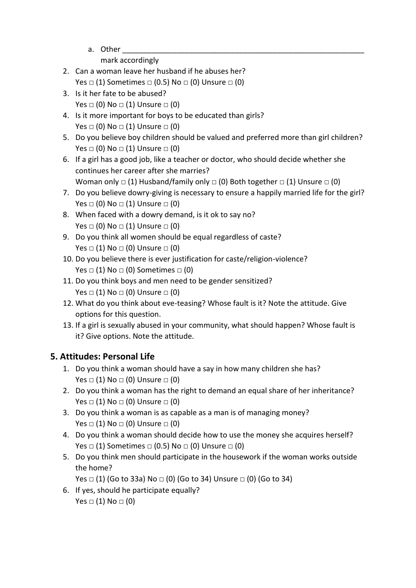a. Other

mark accordingly

- 2. Can a woman leave her husband if he abuses her? Yes  $\Box$  (1) Sometimes  $\Box$  (0.5) No  $\Box$  (0) Unsure  $\Box$  (0)
- 3. Is it her fate to be abused? Yes  $\Box$  (0) No  $\Box$  (1) Unsure  $\Box$  (0)
- 4. Is it more important for boys to be educated than girls? Yes  $\Box$  (0) No  $\Box$  (1) Unsure  $\Box$  (0)
- 5. Do you believe boy children should be valued and preferred more than girl children? Yes  $\Box$  (0) No  $\Box$  (1) Unsure  $\Box$  (0)
- 6. If a girl has a good job, like a teacher or doctor, who should decide whether she continues her career after she marries?

```
Woman only \Box (1) Husband/family only \Box (0) Both together \Box (1) Unsure \Box (0)
```
- 7. Do you believe dowry-giving is necessary to ensure a happily married life for the girl? Yes  $\Box$  (0) No  $\Box$  (1) Unsure  $\Box$  (0)
- 8. When faced with a dowry demand, is it ok to say no? Yes  $\Box$  (0) No  $\Box$  (1) Unsure  $\Box$  (0)
- 9. Do you think all women should be equal regardless of caste? Yes  $\Box$  (1) No  $\Box$  (0) Unsure  $\Box$  (0)
- 10. Do you believe there is ever justification for caste/religion-violence? Yes  $\Box$  (1) No  $\Box$  (0) Sometimes  $\Box$  (0)
- 11. Do you think boys and men need to be gender sensitized? Yes  $\Box$  (1) No  $\Box$  (0) Unsure  $\Box$  (0)
- 12. What do you think about eve-teasing? Whose fault is it? Note the attitude. Give options for this question.
- 13. If a girl is sexually abused in your community, what should happen? Whose fault is it? Give options. Note the attitude.

#### <span id="page-21-0"></span>**5. Attitudes: Personal Life**

- 1. Do you think a woman should have a say in how many children she has? Yes  $\Box$  (1) No  $\Box$  (0) Unsure  $\Box$  (0)
- 2. Do you think a woman has the right to demand an equal share of her inheritance? Yes  $\Box$  (1) No  $\Box$  (0) Unsure  $\Box$  (0)
- 3. Do you think a woman is as capable as a man is of managing money? Yes  $\Box$  (1) No  $\Box$  (0) Unsure  $\Box$  (0)
- 4. Do you think a woman should decide how to use the money she acquires herself? Yes  $\Box$  (1) Sometimes  $\Box$  (0.5) No  $\Box$  (0) Unsure  $\Box$  (0)
- 5. Do you think men should participate in the housework if the woman works outside the home?

Yes  $□$  (1) (Go to 33a) No  $□$  (0) (Go to 34) Unsure  $□$  (0) (Go to 34)

6. If yes, should he participate equally? Yes  $\Box$  (1) No  $\Box$  (0)